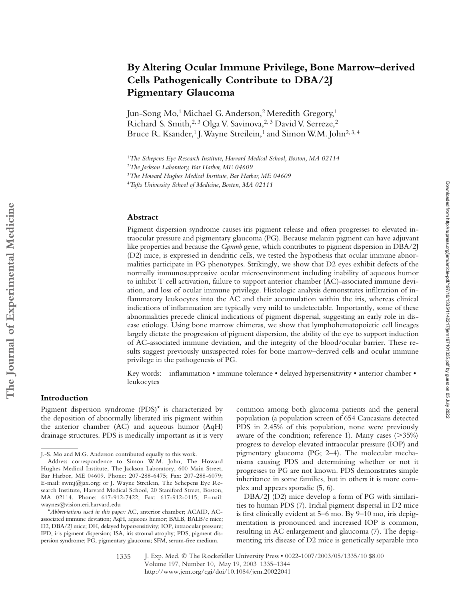# **By Altering Ocular Immune Privilege, Bone Marrow–derived Cells Pathogenically Contribute to DBA/2J Pigmentary Glaucoma**

Jun-Song Mo,<sup>1</sup> Michael G. Anderson,<sup>2</sup> Meredith Gregory,<sup>1</sup> Richard S. Smith,<sup>2, 3</sup> Olga V. Savinova,<sup>2, 3</sup> David V. Serreze,<sup>2</sup> Bruce R. Ksander,<sup>1</sup> J. Wayne Streilein,<sup>1</sup> and Simon W.M. John<sup>2, 3, 4</sup>

#### **Abstract**

Pigment dispersion syndrome causes iris pigment release and often progresses to elevated intraocular pressure and pigmentary glaucoma (PG). Because melanin pigment can have adjuvant like properties and because the *Gpnmb* gene, which contributes to pigment dispersion in DBA/2J (D2) mice, is expressed in dendritic cells, we tested the hypothesis that ocular immune abnormalities participate in PG phenotypes. Strikingly, we show that D2 eyes exhibit defects of the normally immunosuppressive ocular microenvironment including inability of aqueous humor to inhibit T cell activation, failure to support anterior chamber (AC)-associated immune deviation, and loss of ocular immune privilege. Histologic analysis demonstrates infiltration of inflammatory leukocytes into the AC and their accumulation within the iris, whereas clinical indications of inflammation are typically very mild to undetectable. Importantly, some of these abnormalities precede clinical indications of pigment dispersal, suggesting an early role in disease etiology. Using bone marrow chimeras, we show that lymphohematopoietic cell lineages largely dictate the progression of pigment dispersion, the ability of the eye to support induction of AC-associated immune deviation, and the integrity of the blood/ocular barrier. These results suggest previously unsuspected roles for bone marrow–derived cells and ocular immune privilege in the pathogenesis of PG.

Key words: inflammation • immune tolerance • delayed hypersensitivity • anterior chamber • leukocytes

## **Introduction**

Pigment dispersion syndrome  $(PDS)^*$  is characterized by the deposition of abnormally liberated iris pigment within the anterior chamber (AC) and aqueous humor (AqH) drainage structures. PDS is medically important as it is very

common among both glaucoma patients and the general population (a population screen of 654 Caucasians detected PDS in 2.45% of this population, none were previously aware of the condition; reference 1). Many cases  $($ >35%) progress to develop elevated intraocular pressure (IOP) and pigmentary glaucoma (PG; 2–4). The molecular mechanisms causing PDS and determining whether or not it progresses to PG are not known. PDS demonstrates simple inheritance in some families, but in others it is more complex and appears sporadic (5, 6).

DBA/2J (D2) mice develop a form of PG with similarities to human PDS (7). Iridial pigment dispersal in D2 mice is first clinically evident at 5–6 mo. By 9–10 mo, iris depigmentation is pronounced and increased IOP is common, resulting in AC enlargement and glaucoma (7). The depigmenting iris disease of D2 mice is genetically separable into

<sup>1</sup>*The Schepens Eye Research Institute, Harvard Medical School, Boston, MA 02114*

<sup>2</sup>*The Jackson Laboratory, Bar Harbor, ME 04609*

<sup>3</sup>*The Howard Hughes Medical Institute, Bar Harbor, ME 04609*

<sup>4</sup>*Tufts University School of Medicine, Boston, MA 02111*

J.-S. Mo and M.G. Anderson contributed equally to this work.

Address correspondence to Simon W.M. John, The Howard Hughes Medical Institute, The Jackson Laboratory, 600 Main Street, Bar Harbor, ME 04609. Phone: 207-288-6475; Fax: 207-288-6079; E-mail: swmj@jax.org; or J. Wayne Streilein, The Schepens Eye Research Institute, Harvard Medical School, 20 Staniford Street, Boston, MA 02114. Phone: 617-912-7422; Fax: 617-912-0115; E-mail: waynes@vision.eri.harvard.edu

<sup>\*</sup>*Abbreviations used in this paper:* AC, anterior chamber; ACAID, ACassociated immune deviation; AqH, aqueous humor; BALB, BALB/c mice; D2, DBA/2J mice; DH, delayed hypersensitivity; IOP, intraocular pressure; IPD, iris pigment dispersion; ISA, iris stromal atrophy; PDS, pigment dispersion syndrome; PG, pigmentary glaucoma; SFM, serum-free medium.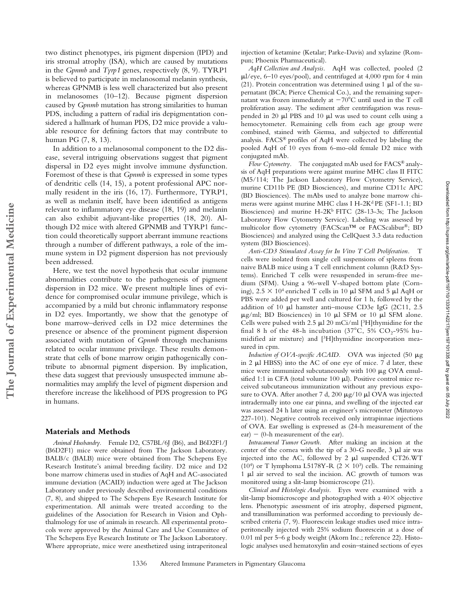two distinct phenotypes, iris pigment dispersion (IPD) and iris stromal atrophy (ISA), which are caused by mutations in the *Gpnmb* and *Tyrp1* genes, respectively (8, 9). TYRP1 is believed to participate in melanosomal melanin synthesis, whereas GPNMB is less well characterized but also present in melanosomes (10–12). Because pigment dispersion caused by *Gpnmb* mutation has strong similarities to human PDS, including a pattern of radial iris depigmentation considered a hallmark of human PDS, D2 mice provide a valuable resource for defining factors that may contribute to human PG (7, 8, 13).

In addition to a melanosomal component to the D2 disease, several intriguing observations suggest that pigment dispersal in D2 eyes might involve immune dysfunction. Foremost of these is that *Gpnmb* is expressed in some types of dendritic cells (14, 15), a potent professional APC normally resident in the iris (16, 17). Furthermore, TYRP1, as well as melanin itself, have been identified as antigens relevant to inflammatory eye disease (18, 19) and melanin can also exhibit adjuvant-like properties (18, 20). Although D2 mice with altered GPNMB and TYRP1 function could theoretically support aberrant immune reactions through a number of different pathways, a role of the immune system in D2 pigment dispersion has not previously been addressed.

Here, we test the novel hypothesis that ocular immune abnormalities contribute to the pathogenesis of pigment dispersion in D2 mice. We present multiple lines of evidence for compromised ocular immune privilege, which is accompanied by a mild but chronic inflammatory response in D2 eyes. Importantly, we show that the genotype of bone marrow–derived cells in D2 mice determines the presence or absence of the prominent pigment dispersion associated with mutation of *Gpnmb* through mechanisms related to ocular immune privilege. These results demonstrate that cells of bone marrow origin pathogenically contribute to abnormal pigment dispersion. By implication, these data suggest that previously unsuspected immune abnormalities may amplify the level of pigment dispersion and therefore increase the likelihood of PDS progression to PG in humans.

#### **Materials and Methods**

**The Journal of Experimental Medicine**

The Journal of Experimental Medicine

*Animal Husbandry.* Female D2, C57BL/6J (B6), and B6D2F1/J (B6D2F1) mice were obtained from The Jackson Laboratory. BALB/c (BALB) mice were obtained from The Schepens Eye Research Institute's animal breeding facility. D2 mice and D2 bone marrow chimeras used in studies of AqH and AC-associated immune deviation (ACAID) induction were aged at The Jackson Laboratory under previously described environmental conditions (7, 8), and shipped to The Schepens Eye Research Institute for experimentation. All animals were treated according to the guidelines of the Association for Research in Vision and Ophthalmology for use of animals in research. All experimental protocols were approved by the Animal Care and Use Committee of The Schepens Eye Research Institute or The Jackson Laboratory. Where appropriate, mice were anesthetized using intraperitoneal

injection of ketamine (Ketalar; Parke-Davis) and xylazine (Rompun; Phoenix Pharmaceutical).

*AqH Collection and Analysis.* AqH was collected, pooled (2  $\mu$ l/eye, 6–10 eyes/pool), and centrifuged at 4,000 rpm for 4 min (21). Protein concentration was determined using 1  $\mu$ l of the supernatant (BCA; Pierce Chemical Co.), and the remaining supernatant was frozen immediately at  $-70^{\circ}$ C until used in the T cell proliferation assay. The sediment after centrifugation was resuspended in 20  $\mu$ l PBS and 10  $\mu$ l was used to count cells using a hemocytometer. Remaining cells from each age group were combined, stained with Giemsa, and subjected to differential analysis. FACS® profiles of AqH were collected by labeling the pooled AqH of 10 eyes from 6-mo-old female D2 mice with conjugated mAb.

*Flow Cytometry.* The conjugated mAb used for FACS® analysis of AqH preparations were against murine MHC class II FITC (M5/114; The Jackson Laboratory Flow Cytometry Service), murine CD11b PE (BD Biosciences), and murine CD11c APC (BD Biosciences). The mAbs used to analyze bone marrow chimeras were against murine MHC class I H-2K<sup>d</sup> PE (SF1-1.1; BD Biosciences) and murine H-2K<sup>b</sup> FITC (28-13-3s; The Jackson Laboratory Flow Cytometry Service). Labeling was assessed by multicolor flow cytometry (FACScan™ or FACScalibur®; BD Biosciences) and analyzed using the CellQuest 3.3 data reduction system (BD Biosciences).

*Anti-CD3 Stimulated Assay for In Vitro T Cell Proliferation.* T cells were isolated from single cell suspensions of spleens from naive BALB mice using a T cell enrichment column (R&D Systems). Enriched T cells were resuspended in serum-free medium (SFM). Using a 96-well V-shaped bottom plate (Corning),  $2.5 \times 10^4$  enriched T cells in 10  $\mu$ l SFM and 5  $\mu$ l AqH or PBS were added per well and cultured for 1 h, followed by the addition of 10  $\mu$ l hamster anti-mouse CD3e IgG (2C11, 2.5  $\mu$ g/ml; BD Biosciences) in 10  $\mu$ l SFM or 10  $\mu$ l SFM alone. Cells were pulsed with 2.5  $\mu$ l 20 mCi/ml [3H]thymidine for the final 8 h of the 48-h incubation (37°C, 5% CO<sub>2</sub>-95% humidified air mixture) and [3H]thymidine incorporation measured in cpm.

*Induction of OVA-specific ACAID.* OVA was injected (50  $\mu$ g in 2  $\mu$ l HBSS) into the AC of one eye of mice. 7 d later, these mice were immunized subcutaneously with 100  $\mu$ g OVA emulsified 1:1 in CFA (total volume 100  $\mu$ l). Positive control mice received subcutaneous immunization without any previous exposure to OVA. After another 7 d, 200  $\mu$ g/10  $\mu$ l OVA was injected intradermally into one ear pinna, and swelling of the injected ear was assessed 24 h later using an engineer's micrometer (Mitutoyo 227-101). Negative controls received only intrapinnae injections of OVA. Ear swelling is expressed as (24-h measurement of the  $ear) - (0-h$  measurement of the ear).

*Intracameral Tumor Growth.* After making an incision at the center of the cornea with the tip of a  $30$ -G needle,  $3 \mu$ l air was injected into the AC, followed by  $2 \mu l$  suspended CT26.WT (10<sup>4</sup>) or T lymphoma L5178Y-R (2  $\times$  10<sup>3</sup>) cells. The remaining 1 µl air served to seal the incision. AC growth of tumors was monitored using a slit-lamp biomicroscope (21).

*Clinical and Histologic Analysis.* Eyes were examined with a slit-lamp biomicroscope and photographed with a  $40\times$  objective lens. Phenotypic assessment of iris atrophy, dispersed pigment, and transillumination was performed according to previously described criteria (7, 9). Fluorescein leakage studies used mice intraperitoneally injected with 25% sodium fluorescein at a dose of 0.01 ml per 5–6 g body weight (Akorn Inc.; reference 22). Histologic analyses used hematoxylin and eosin–stained sections of eyes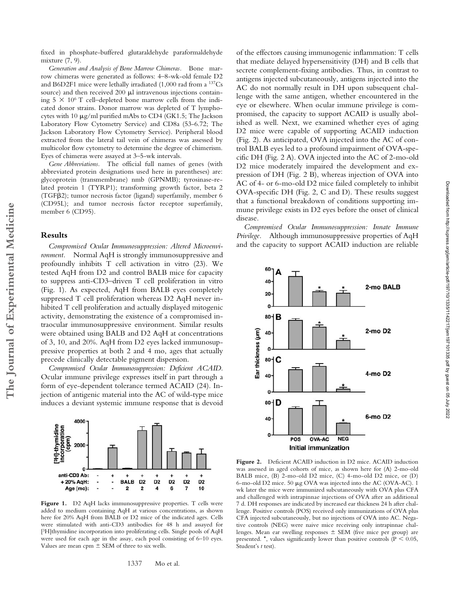fixed in phosphate-buffered glutaraldehyde paraformaldehyde mixture (7, 9).

*Generation and Analysis of Bone Marrow Chimeras.* Bone marrow chimeras were generated as follows: 4–8-wk-old female D2 and B6D2F1 mice were lethally irradiated (1,000 rad from a 137Cs source) and then received  $200 \mu l$  intravenous injections containing  $5 \times 10^6$  T cell–depleted bone marrow cells from the indicated donor strains. Donor marrow was depleted of T lymphocytes with 10  $\mu$ g/ml purified mAbs to CD4 (GK1.5; The Jackson Laboratory Flow Cytometry Service) and CD8a (53-6.72; The Jackson Laboratory Flow Cytometry Service). Peripheral blood extracted from the lateral tail vein of chimeras was assessed by multicolor flow cytometry to determine the degree of chimerism. Eyes of chimeras were assayed at 3–5-wk intervals.

*Gene Abbreviations.* The official full names of genes (with abbreviated protein designations used here in parentheses) are: glycoprotein (transmembrane) nmb (GPNMB); tyrosinase-related protein 1 (TYRP1); transforming growth factor, beta 2 (TGF2); tumor necrosis factor (ligand) superfamily, member 6 (CD95L); and tumor necrosis factor receptor superfamily, member 6 (CD95).

#### **Results**

*Compromised Ocular Immunosuppression: Altered Microenvironment.* Normal AqH is strongly immunosuppressive and profoundly inhibits T cell activation in vitro (23). We tested AqH from D2 and control BALB mice for capacity to suppress anti-CD3–driven T cell proliferation in vitro (Fig. 1). As expected, AqH from BALB eyes completely suppressed T cell proliferation whereas D2 AqH never inhibited T cell proliferation and actually displayed mitogenic activity, demonstrating the existence of a compromised intraocular immunosuppressive environment. Similar results were obtained using BALB and D2 AqH at concentrations of 3, 10, and 20%. AqH from D2 eyes lacked immunosuppressive properties at both 2 and 4 mo, ages that actually precede clinically detectable pigment dispersion.

*Compromised Ocular Immunosuppression: Deficient ACAID.* Ocular immune privilege expresses itself in part through a form of eye-dependent tolerance termed ACAID (24). Injection of antigenic material into the AC of wild-type mice induces a deviant systemic immune response that is devoid



Figure 1. D2 AqH lacks immunosuppressive properties. T cells were added to medium containing AqH at various concentrations, as shown here for 20% AqH from BALB or D2 mice of the indicated ages. Cells were stimulated with anti-CD3 antibodies for 48 h and assayed for [3H]thymidine incorporation into proliferating cells. Single pools of AqH were used for each age in the assay, each pool consisting of 6–10 eyes. Values are mean cpm  $\pm$  SEM of three to six wells.

that mediate delayed hypersensitivity (DH) and B cells that secrete complement-fixing antibodies. Thus, in contrast to antigens injected subcutaneously, antigens injected into the AC do not normally result in DH upon subsequent challenge with the same antigen, whether encountered in the eye or elsewhere. When ocular immune privilege is compromised, the capacity to support ACAID is usually abolished as well. Next, we examined whether eyes of aging D2 mice were capable of supporting ACAID induction (Fig. 2). As anticipated, OVA injected into the AC of control BALB eyes led to a profound impairment of OVA-specific DH (Fig. 2 A). OVA injected into the AC of 2-mo-old D2 mice moderately impaired the development and expression of DH (Fig. 2 B), whereas injection of OVA into AC of 4- or 6-mo-old D2 mice failed completely to inhibit OVA-specific DH (Fig. 2, C and D). These results suggest that a functional breakdown of conditions supporting immune privilege exists in D2 eyes before the onset of clinical disease.

of the effectors causing immunogenic inflammation: T cells

*Compromised Ocular Immunosuppression: Innate Immune Privilege.* Although immunosuppressive properties of AqH and the capacity to support ACAID induction are reliable



**Figure 2.** Deficient ACAID induction in D2 mice. ACAID induction was assessed in aged cohorts of mice, as shown here for (A) 2-mo-old BALB mice, (B) 2-mo-old D2 mice, (C) 4-mo-old D2 mice, or (D) 6-mo-old D2 mice. 50  $\mu$ g OVA was injected into the AC (OVA-AC). 1 wk later the mice were immunized subcutaneously with OVA plus CFA and challenged with intrapinnae injections of OVA after an additional 7 d. DH responses are indicated by increased ear thickness 24 h after challenge. Positive controls (POS) received only immunizations of OVA plus CFA injected subcutaneously, but no injections of OVA into AC. Negative controls (NEG) were naive mice receiving only intrapinnae challenges. Mean ear swelling responses  $\pm$  SEM (five mice per group) are presented. \*, values significantly lower than positive controls ( $P \le 0.05$ , Student's *t* test).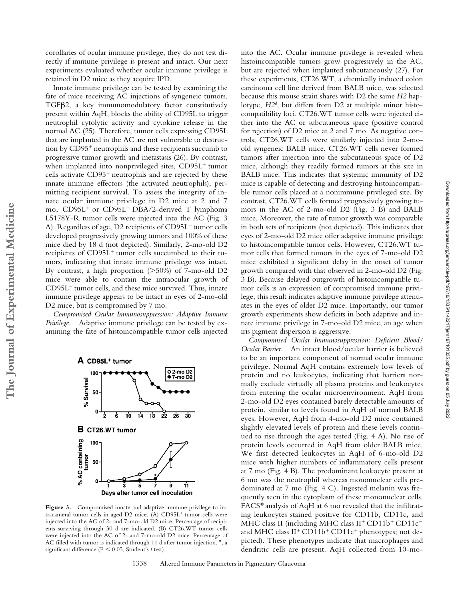corollaries of ocular immune privilege, they do not test directly if immune privilege is present and intact. Our next experiments evaluated whether ocular immune privilege is retained in D2 mice as they acquire IPD.

Innate immune privilege can be tested by examining the fate of mice receiving AC injections of syngeneic tumors. TGF<sub>B2</sub>, a key immunomodulatory factor constitutively present within AqH, blocks the ability of CD95L to trigger neutrophil cytolytic activity and cytokine release in the normal AC (25). Therefore, tumor cells expressing CD95L that are implanted in the AC are not vulnerable to destruction by CD95 neutrophils and these recipients succumb to progressive tumor growth and metastasis (26). By contrast, when implanted into nonprivileged sites, CD95L tumor cells activate CD95 neutrophils and are rejected by these innate immune effectors (the activated neutrophils), permitting recipient survival. To assess the integrity of innate ocular immune privilege in D2 mice at 2 and 7 mo, CD95L<sup>+</sup> or CD95L<sup>-</sup> DBA/2-derived T lymphoma L5178Y-R tumor cells were injected into the AC (Fig. 3 A). Regardless of age, D2 recipients of CD95L<sup>-</sup> tumor cells developed progressively growing tumors and 100% of these mice died by 18 d (not depicted). Similarly, 2-mo-old D2 recipients of CD95L tumor cells succumbed to their tumors, indicating that innate immune privilege was intact. By contrast, a high proportion (>50%) of 7-mo-old D2 mice were able to contain the intraocular growth of CD95L tumor cells, and these mice survived. Thus, innate immune privilege appears to be intact in eyes of 2-mo-old D<sub>2</sub> mice, but is compromised by  $7$  mo.

*Compromised Ocular Immunosuppression: Adaptive Immune Privilege.* Adaptive immune privilege can be tested by examining the fate of histoincompatible tumor cells injected

**The Journal of Experimental Medicine**

The Journal of Experimental Medicine



Figure 3. Compromised innate and adaptive immune privilege to intracameral tumor cells in aged D2 mice. (A) CD95L tumor cells were injected into the AC of 2- and 7-mo-old D2 mice. Percentage of recipients surviving through 30 d are indicated. (B) CT26.WT tumor cells were injected into the AC of 2- and 7-mo-old D2 mice. Percentage of AC filled with tumor is indicated through 11 d after tumor injection. \*, a significant difference ( $P < 0.05$ , Student's t test).

into the AC. Ocular immune privilege is revealed when histoincompatible tumors grow progressively in the AC, but are rejected when implanted subcutaneously (27). For these experiments, CT26.WT, a chemically induced colon carcinoma cell line derived from BALB mice, was selected because this mouse strain shares with D2 the same *H2* haplotype, *H2d* , but differs from D2 at multiple minor histocompatibility loci. CT26.WT tumor cells were injected either into the AC or subcutaneous space (positive control for rejection) of D2 mice at 2 and 7 mo. As negative controls, CT26.WT cells were similarly injected into 2-moold syngeneic BALB mice. CT26.WT cells never formed tumors after injection into the subcutaneous space of D2 mice, although they readily formed tumors at this site in BALB mice. This indicates that systemic immunity of D2 mice is capable of detecting and destroying histoincompatible tumor cells placed at a nonimmune privileged site. By contrast, CT26.WT cells formed progressively growing tumors in the AC of 2-mo-old D2 (Fig. 3 B) and BALB mice. Moreover, the rate of tumor growth was comparable in both sets of recipients (not depicted). This indicates that eyes of 2-mo-old D2 mice offer adaptive immune privilege to histoincompatible tumor cells. However, CT26.WT tumor cells that formed tumors in the eyes of 7-mo-old D2 mice exhibited a significant delay in the onset of tumor growth compared with that observed in 2-mo-old D2 (Fig. 3 B). Because delayed outgrowth of histoincompatible tumor cells is an expression of compromised immune privilege, this result indicates adaptive immune privilege attenuates in the eyes of older D2 mice. Importantly, our tumor growth experiments show deficits in both adaptive and innate immune privilege in 7-mo-old D2 mice, an age when iris pigment dispersion is aggressive.

*Compromised Ocular Immunosuppression: Deficient Blood/ Ocular Barrier.* An intact blood/ocular barrier is believed to be an important component of normal ocular immune privilege. Normal AqH contains extremely low levels of protein and no leukocytes, indicating that barriers normally exclude virtually all plasma proteins and leukocytes from entering the ocular microenvironment. AqH from 2-mo-old D2 eyes contained barely detectable amounts of protein, similar to levels found in AqH of normal BALB eyes. However, AqH from 4-mo-old D2 mice contained slightly elevated levels of protein and these levels continued to rise through the ages tested (Fig. 4 A). No rise of protein levels occurred in AqH from older BALB mice. We first detected leukocytes in AqH of 6-mo-old D2 mice with higher numbers of inflammatory cells present at 7 mo (Fig. 4 B). The predominant leukocyte present at 6 mo was the neutrophil whereas mononuclear cells predominated at 7 mo (Fig. 4 C). Ingested melanin was frequently seen in the cytoplasm of these mononuclear cells. FACS® analysis of AqH at 6 mo revealed that the infiltrating leukocytes stained positive for CD11b, CD11c, and MHC class II (including MHC class II<sup>+</sup> CD11b<sup>+</sup> CD11c<sup>-</sup> and MHC class II<sup>+</sup> CD11b<sup>+</sup> CD11c<sup>+</sup> phenotypes; not depicted). These phenotypes indicate that macrophages and dendritic cells are present. AqH collected from 10-mo-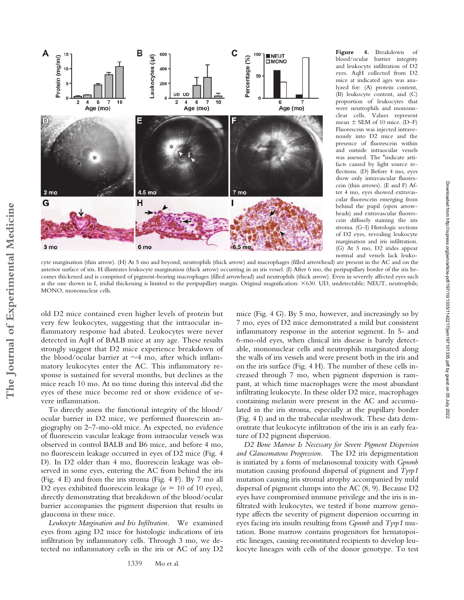

**Figure 4.** Breakdown of blood/ocular barrier integrity and leukocyte infiltration of D2 eyes. AqH collected from D2 mice at indicated ages was analyzed for: (A) protein content, (B) leukocyte content, and (C) proportion of leukocytes that were neutrophils and mononuclear cells. Values represent mean  $\pm$  SEM of 10 mice. (D–F) Fluorescein was injected intravenously into D2 mice and the presence of fluorescein within and outside intraocular vessels was assessed. The \*indicate artifacts caused by light source reflections. (D) Before 4 mo, eyes show only intravascular fluorescein (thin arrows). (E and F) After 4 mo, eyes showed extravascular fluorescein emerging from behind the pupil (open arrowheads) and extravascular fluorescein diffusely staining the iris stroma. (G–I) Histologic sections of D2 eyes, revealing leukocyte margination and iris infiltration. (G) At 3 mo, D2 irides appear normal and vessels lack leuko-

cyte margination (thin arrow). (H) At 5 mo and beyond, neutrophils (thick arrow) and macrophages (filled arrowhead) are present in the AC and on the anterior surface of iris. H illustrates leukocyte margination (thick arrow) occurring in an iris vessel. (I) After 6 mo, the peripupillary border of the iris becomes thickened and is comprised of pigment-bearing macrophages (filled arrowhead) and neutrophils (thick arrow). Even in severely affected eyes such as the one shown in I, iridial thickening is limited to the peripupillary margin. Original magnification: ×630. UD, undetectable; NEUT, neutrophils; MONO, mononuclear cells.

old D2 mice contained even higher levels of protein but very few leukocytes, suggesting that the intraocular inflammatory response had abated. Leukocytes were never detected in AqH of BALB mice at any age. These results strongly suggest that D2 mice experience breakdown of the blood/ocular barrier at  $\sim$ 4 mo, after which inflammatory leukocytes enter the AC. This inflammatory response is sustained for several months, but declines as the mice reach 10 mo. At no time during this interval did the eyes of these mice become red or show evidence of severe inflammation.

To directly assess the functional integrity of the blood/ ocular barrier in D2 mice, we performed fluorescein angiography on 2–7-mo-old mice. As expected, no evidence of fluorescein vascular leakage from intraocular vessels was observed in control BALB and B6 mice, and before 4 mo, no fluorescein leakage occurred in eyes of D2 mice (Fig. 4 D). In D2 older than 4 mo, fluorescein leakage was observed in some eyes, entering the AC from behind the iris (Fig. 4 E) and from the iris stroma (Fig. 4 F). By 7 mo all D2 eyes exhibited fluorescein leakage  $(n = 10 \text{ of } 10 \text{ eyes})$ , directly demonstrating that breakdown of the blood/ocular barrier accompanies the pigment dispersion that results in glaucoma in these mice.

*Leukocyte Margination and Iris Infiltration.* We examined eyes from aging D2 mice for histologic indications of iris infiltration by inflammatory cells. Through 3 mo, we detected no inflammatory cells in the iris or AC of any D2

mice (Fig. 4 G). By 5 mo, however, and increasingly so by 7 mo, eyes of D2 mice demonstrated a mild but consistent inflammatory response in the anterior segment. In 5- and 6-mo-old eyes, when clinical iris disease is barely detectable, mononuclear cells and neutrophils marginated along the walls of iris vessels and were present both in the iris and on the iris surface (Fig. 4 H). The number of these cells increased through 7 mo, when pigment dispersion is rampant, at which time macrophages were the most abundant infiltrating leukocyte. In these older D2 mice, macrophages containing melanin were present in the AC and accumulated in the iris stroma, especially at the pupillary border (Fig. 4 I) and in the trabecular meshwork. These data demonstrate that leukocyte infiltration of the iris is an early feature of D2 pigment dispersion.

*D2 Bone Marrow Is Necessary for Severe Pigment Dispersion and Glaucomatous Progression.* The D2 iris depigmentation is initiated by a form of melanosomal toxicity with *Gpnmb* mutation causing profound dispersal of pigment and *Tyrp1* mutation causing iris stromal atrophy accompanied by mild dispersal of pigment clumps into the AC (8, 9). Because D2 eyes have compromised immune privilege and the iris is infiltrated with leukocytes, we tested if bone marrow genotype affects the severity of pigment dispersion occurring in eyes facing iris insults resulting from *Gpnmb* and *Tyrp1* mutation. Bone marrow contains progenitors for hematopoietic lineages, causing reconstituted recipients to develop leukocyte lineages with cells of the donor genotype. To test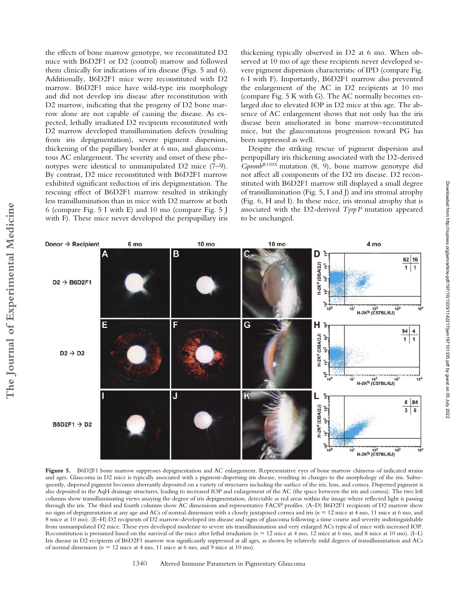the effects of bone marrow genotype, we reconstituted D2 mice with B6D2F1 or D2 (control) marrow and followed them clinically for indications of iris disease (Figs. 5 and 6). Additionally, B6D2F1 mice were reconstituted with D2 marrow. B6D2F1 mice have wild-type iris morphology and did not develop iris disease after reconstitution with D2 marrow, indicating that the progeny of D2 bone marrow alone are not capable of causing the disease. As expected, lethally irradiated D2 recipients reconstituted with D2 marrow developed transillumination defects (resulting from iris depigmentation), severe pigment dispersion, thickening of the pupillary border at 6 mo, and glaucomatous AC enlargement. The severity and onset of these phenotypes were identical to unmanipulated D2 mice (7–9). By contrast, D2 mice reconstituted with B6D2F1 marrow exhibited significant reduction of iris depigmentation. The rescuing effect of B6D2F1 marrow resulted in strikingly less transillumination than in mice with D2 marrow at both 6 (compare Fig. 5 I with E) and 10 mo (compare Fig. 5 J with F). These mice never developed the peripupillary iris thickening typically observed in D2 at 6 mo. When observed at 10 mo of age these recipients never developed severe pigment dispersion characteristic of IPD (compare Fig. 6 I with F). Importantly, B6D2F1 marrow also prevented the enlargement of the AC in D2 recipients at 10 mo (compare Fig. 5 K with G). The AC normally becomes enlarged due to elevated IOP in D2 mice at this age. The absence of AC enlargement shows that not only has the iris disease been ameliorated in bone marrow–reconstituted mice, but the glaucomatous progression toward PG has been suppressed as well.

Despite the striking rescue of pigment dispersion and peripupillary iris thickening associated with the D2-derived *GpnmbR150X* mutation (8, 9), bone marrow genotype did not affect all components of the D2 iris disease. D2 reconstituted with B6D2F1 marrow still displayed a small degree of transillumination (Fig. 5, I and J) and iris stromal atrophy (Fig. 6, H and I). In these mice, iris stromal atrophy that is associated with the D2-derived *Tyrp1b* mutation appeared to be unchanged.



Figure 5. B6D2F1 bone marrow suppresses depigmentation and AC enlargement. Representative eyes of bone marrow chimeras of indicated strains and ages. Glaucoma in D2 mice is typically associated with a pigment-dispersing iris disease, resulting in changes to the morphology of the iris. Subsequently, dispersed pigment becomes aberrantly deposited on a variety of structures including the surface of the iris, lens, and cornea. Dispersed pigment is also deposited in the AqH drainage structures, leading to increased IOP and enlargement of the AC (the space between the iris and cornea). The two left columns show transilluminating views assaying the degree of iris depigmentation, detectable as red areas within the image where reflected light is passing through the iris. The third and fourth columns show AC dimensions and representative FACS® profiles. (A–D) B6D2F1 recipients of D2 marrow show no signs of depigmentation at any age and ACs of normal dimension with a closely juxtaposed cornea and iris ( $n = 12$  mice at 4 mo, 11 mice at 6 mo, and 8 mice at 10 mo). (E–H) D2 recipients of D2 marrow-developed iris disease and signs of glaucoma following a time course and severity indistinguishable from unmanipulated D2 mice. These eyes developed moderate to severe iris transillumination and very enlarged ACs typical of mice with increased IOP. Reconstitution is presumed based on the survival of the mice after lethal irradiation (*n*  12 mice at 4 mo, 12 mice at 6 mo, and 8 mice at 10 mo). (I–L) Iris disease in D2 recipients of B6D2F1 marrow was significantly suppressed at all ages, as shown by relatively mild degrees of transillumination and ACs of normal dimension ( $n = 12$  mice at 4 mo, 11 mice at 6 mo, and 9 mice at 10 mo).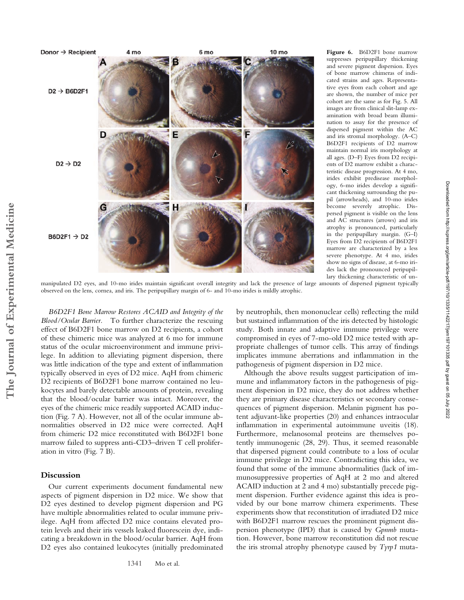

**Figure 6.** B6D2F1 bone marrow suppresses peripupillary thickening and severe pigment dispersion. Eyes of bone marrow chimeras of indicated strains and ages. Representative eyes from each cohort and age are shown, the number of mice per cohort are the same as for Fig. 5. All images are from clinical slit-lamp examination with broad beam illumination to assay for the presence of dispersed pigment within the AC and iris stromal morphology. (A–C) B6D2F1 recipients of D2 marrow maintain normal iris morphology at all ages. (D–F) Eyes from D2 recipients of D2 marrow exhibit a characteristic disease progression. At 4 mo, irides exhibit predisease morphology, 6-mo irides develop a significant thickening surrounding the pupil (arrowheads), and 10-mo irides become severely atrophic. Dispersed pigment is visible on the lens and AC structures (arrows) and iris atrophy is pronounced, particularly in the peripupillary margin. (G–I) Eyes from D2 recipients of B6D2F1 marrow are characterized by a less severe phenotype. At 4 mo, irides show no signs of disease, at 6-mo irides lack the pronounced peripupillary thickening characteristic of un-

manipulated D2 eyes, and 10-mo irides maintain significant overall integrity and lack the presence of large amounts of dispersed pigment typically observed on the lens, cornea, and iris. The peripupillary margin of 6- and 10-mo irides is mildly atrophic.

*B6D2F1 Bone Marrow Restores ACAID and Integrity of the Blood/Ocular Barrier.* To further characterize the rescuing effect of B6D2F1 bone marrow on D2 recipients, a cohort of these chimeric mice was analyzed at 6 mo for immune status of the ocular microenvironment and immune privilege. In addition to alleviating pigment dispersion, there was little indication of the type and extent of inflammation typically observed in eyes of D2 mice. AqH from chimeric D2 recipients of B6D2F1 bone marrow contained no leukocytes and barely detectable amounts of protein, revealing that the blood/ocular barrier was intact. Moreover, the eyes of the chimeric mice readily supported ACAID induction (Fig. 7 A). However, not all of the ocular immune abnormalities observed in D2 mice were corrected. AqH from chimeric D2 mice reconstituted with B6D2F1 bone marrow failed to suppress anti-CD3–driven T cell proliferation in vitro (Fig. 7 B).

# **Discussion**

Our current experiments document fundamental new aspects of pigment dispersion in D2 mice. We show that D2 eyes destined to develop pigment dispersion and PG have multiple abnormalities related to ocular immune privilege. AqH from affected D2 mice contains elevated protein levels and their iris vessels leaked fluorescein dye, indicating a breakdown in the blood/ocular barrier. AqH from D2 eyes also contained leukocytes (initially predominated by neutrophils, then mononuclear cells) reflecting the mild but sustained inflammation of the iris detected by histologic study. Both innate and adaptive immune privilege were compromised in eyes of 7-mo-old D2 mice tested with appropriate challenges of tumor cells. This array of findings implicates immune aberrations and inflammation in the pathogenesis of pigment dispersion in D2 mice.

Although the above results suggest participation of immune and inflammatory factors in the pathogenesis of pigment dispersion in D2 mice, they do not address whether they are primary disease characteristics or secondary consequences of pigment dispersion. Melanin pigment has potent adjuvant-like properties (20) and enhances intraocular inflammation in experimental autoimmune uveitis (18). Furthermore, melanosomal proteins are themselves potently immunogenic (28, 29). Thus, it seemed reasonable that dispersed pigment could contribute to a loss of ocular immune privilege in D2 mice. Contradicting this idea, we found that some of the immune abnormalities (lack of immunosuppressive properties of AqH at 2 mo and altered ACAID induction at 2 and 4 mo) substantially precede pigment dispersion. Further evidence against this idea is provided by our bone marrow chimera experiments. These experiments show that reconstitution of irradiated D2 mice with B6D2F1 marrow rescues the prominent pigment dispersion phenotype (IPD) that is caused by *Gpnmb* mutation. However, bone marrow reconstitution did not rescue the iris stromal atrophy phenotype caused by *Tyrp1* muta-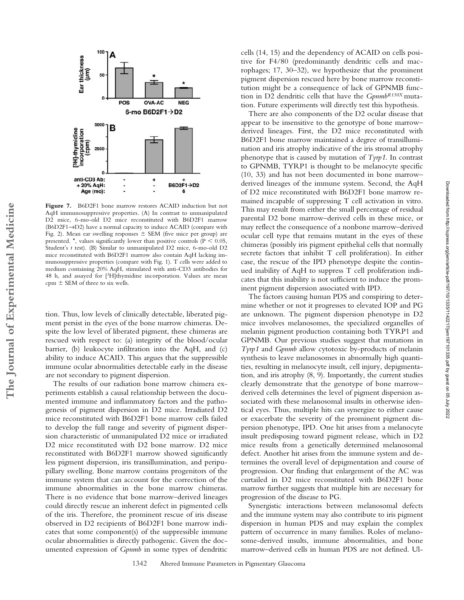

**Figure 7.** B6D2F1 bone marrow restores ACAID induction but not AqH immunosuppressive properties. (A) In contrast to unmanipulated D2 mice, 6-mo-old D2 mice reconstituted with B6D2F1 marrow (B6D2F1→D2) have a normal capacity to induce ACAID (compare with Fig. 2). Mean ear swelling responses  $\pm$  SEM (five mice per group) are presented. \*, values significantly lower than positive controls ( $P < 0.05$ , Student's *t* test). (B) Similar to unmanipulated D2 mice, 6-mo-old D2 mice reconstituted with B6D2F1 marrow also contain AqH lacking immunosuppressive properties (compare with Fig. 1). T cells were added to medium containing 20% AqH, stimulated with anti-CD3 antibodies for 48 h, and assayed for [3H]thymidine incorporation. Values are mean cpm  $\pm$  SEM of three to six wells.

tion. Thus, low levels of clinically detectable, liberated pigment persist in the eyes of the bone marrow chimeras. Despite the low level of liberated pigment, these chimeras are rescued with respect to: (a) integrity of the blood/ocular barrier, (b) leukocyte infiltration into the AqH, and (c) ability to induce ACAID. This argues that the suppressible immune ocular abnormalities detectable early in the disease are not secondary to pigment dispersion.

**The Journal of Experimental Medicine**

The Journal of Experimental Medicine

The results of our radiation bone marrow chimera experiments establish a causal relationship between the documented immune and inflammatory factors and the pathogenesis of pigment dispersion in D2 mice. Irradiated D2 mice reconstituted with B6D2F1 bone marrow cells failed to develop the full range and severity of pigment dispersion characteristic of unmanipulated D2 mice or irradiated D2 mice reconstituted with D2 bone marrow. D2 mice reconstituted with B6D2F1 marrow showed significantly less pigment dispersion, iris transillumination, and peripupillary swelling. Bone marrow contains progenitors of the immune system that can account for the correction of the immune abnormalities in the bone marrow chimeras. There is no evidence that bone marrow–derived lineages could directly rescue an inherent defect in pigmented cells of the iris. Therefore, the prominent rescue of iris disease observed in D2 recipients of B6D2F1 bone marrow indicates that some component(s) of the suppressible immune ocular abnormalities is directly pathogenic. Given the documented expression of *Gpnmb* in some types of dendritic cells (14, 15) and the dependency of ACAID on cells positive for F4/80 (predominantly dendritic cells and macrophages; 17, 30–32), we hypothesize that the prominent pigment dispersion rescued here by bone marrow reconstitution might be a consequence of lack of GPNMB function in D2 dendritic cells that have the *GpnmbR150X* mutation. Future experiments will directly test this hypothesis.

There are also components of the D2 ocular disease that appear to be insensitive to the genotype of bone marrow– derived lineages. First, the D2 mice reconstituted with B6D2F1 bone marrow maintained a degree of transillumination and iris atrophy indicative of the iris stromal atrophy phenotype that is caused by mutation of *Tyrp1*. In contrast to GPNMB, TYRP1 is thought to be melanocyte specific (10, 33) and has not been documented in bone marrow– derived lineages of the immune system. Second, the AqH of D2 mice reconstituted with B6D2F1 bone marrow remained incapable of suppressing T cell activation in vitro. This may result from either the small percentage of residual parental D2 bone marrow–derived cells in these mice, or may reflect the consequence of a nonbone marrow–derived ocular cell type that remains mutant in the eyes of these chimeras (possibly iris pigment epithelial cells that normally secrete factors that inhibit T cell proliferation). In either case, the rescue of the IPD phenotype despite the continued inability of AqH to suppress T cell proliferation indicates that this inability is not sufficient to induce the prominent pigment dispersion associated with IPD.

The factors causing human PDS and conspiring to determine whether or not it progresses to elevated IOP and PG are unknown. The pigment dispersion phenotype in D2 mice involves melanosomes, the specialized organelles of melanin pigment production containing both TYRP1 and GPNMB. Our previous studies suggest that mutations in *Tyrp1* and *Gpnmb* allow cytotoxic by-products of melanin synthesis to leave melanosomes in abnormally high quantities, resulting in melanocyte insult, cell injury, depigmentation, and iris atrophy (8, 9). Importantly, the current studies clearly demonstrate that the genotype of bone marrow– derived cells determines the level of pigment dispersion associated with these melanosomal insults in otherwise identical eyes. Thus, multiple hits can synergize to either cause or exacerbate the severity of the prominent pigment dispersion phenotype, IPD. One hit arises from a melanocyte insult predisposing toward pigment release, which in D2 mice results from a genetically determined melanosomal defect. Another hit arises from the immune system and determines the overall level of depigmentation and course of progression. Our finding that enlargement of the AC was curtailed in D2 mice reconstituted with B6D2F1 bone marrow further suggests that multiple hits are necessary for progression of the disease to PG.

Synergistic interactions between melanosomal defects and the immune system may also contribute to iris pigment dispersion in human PDS and may explain the complex pattern of occurrence in many families. Roles of melanosome-derived insults, immune abnormalities, and bone marrow–derived cells in human PDS are not defined. Ul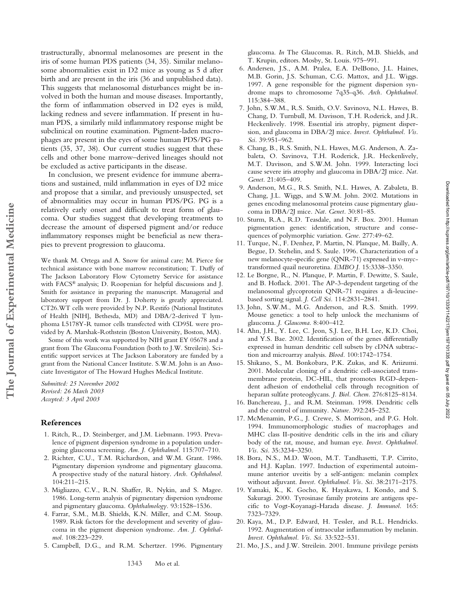trastructurally, abnormal melanosomes are present in the iris of some human PDS patients (34, 35). Similar melanosome abnormalities exist in D2 mice as young as 5 d after birth and are present in the iris (36 and unpublished data). This suggests that melanosomal disturbances might be involved in both the human and mouse diseases. Importantly, the form of inflammation observed in D2 eyes is mild, lacking redness and severe inflammation. If present in human PDS, a similarly mild inflammatory response might be subclinical on routine examination. Pigment-laden macrophages are present in the eyes of some human PDS/PG patients (35, 37, 38). Our current studies suggest that these cells and other bone marrow–derived lineages should not be excluded as active participants in the disease.

In conclusion, we present evidence for immune aberrations and sustained, mild inflammation in eyes of D2 mice and propose that a similar, and previously unsuspected, set of abnormalities may occur in human PDS/PG. PG is a relatively early onset and difficult to treat form of glaucoma. Our studies suggest that developing treatments to decrease the amount of dispersed pigment and/or reduce inflammatory responses might be beneficial as new therapies to prevent progression to glaucoma.

We thank M. Ortega and A. Snow for animal care; M. Pierce for technical assistance with bone marrow reconstitution; T. Duffy of The Jackson Laboratory Flow Cytometry Service for assistance with FACS® analysis; D. Roopenian for helpful discussions and J. Smith for assistance in preparing the manuscript. Managerial and laboratory support from Dr. J. Doherty is greatly appreciated. CT26.WT cells were provided by N.P. Restifo (National Institutes of Health [NIH], Bethesda, MD) and DBA/2-derived T lymphoma L5178Y-R tumor cells transfected with CD95L were provided by A. Marshak-Rothstein (Boston University, Boston, MA).

Some of this work was supported by NIH grant EY 05678 and a grant from The Glaucoma Foundation (both to J.W. Streilein). Scientific support services at The Jackson Laboratory are funded by a grant from the National Cancer Institute. S.W.M. John is an Associate Investigator of The Howard Hughes Medical Institute.

*Submitted: 25 November 2002 Revised: 26 March 2003 Accepted: 3 April 2003*

### **References**

**The Journal of Experimental Medicine**

The Journal of Experimental Medicine

- 1. Ritch, R., D. Steinberger, and J.M. Liebmann. 1993. Prevalence of pigment dispersion syndrome in a population undergoing glaucoma screening. *Am. J. Ophthalmol.* 115:707–710.
- 2. Richter, C.U., T.M. Richardson, and W.M. Grant. 1986. Pigmentary dispersion syndrome and pigmentary glaucoma. A prospective study of the natural history. *Arch. Ophthalmol.* 104:211–215.
- 3. Migliazzo, C.V., R.N. Shaffer, R. Nykin, and S. Magee. 1986. Long-term analysis of pigmentary dispersion syndrome and pigmentary glaucoma. *Ophthalmology.* 93:1528–1536.
- 4. Farrar, S.M., M.B. Shields, K.N. Miller, and C.M. Stoup. 1989. Risk factors for the development and severity of glaucoma in the pigment dispersion syndrome. *Am. J. Ophthalmol.* 108:223–229.
- 5. Campbell, D.G., and R.M. Schertzer. 1996. Pigmentary

glaucoma. *In* The Glaucomas. R. Ritch, M.B. Shields, and T. Krupin, editors. Mosby, St. Louis. 975–991.

- 6. Andersen, J.S., A.M. Pralea, E.A. DelBono, J.L. Haines, M.B. Gorin, J.S. Schuman, C.G. Mattox, and J.L. Wiggs. 1997. A gene responsible for the pigment dispersion syndrome maps to chromosome 7q35-q36. *Arch. Ophthalmol.* 115:384–388.
- 7. John, S.W.M., R.S. Smith, O.V. Savinova, N.L. Hawes, B. Chang, D. Turnbull, M. Davisson, T.H. Roderick, and J.R. Heckenlively. 1998. Essential iris atrophy, pigment dispersion, and glaucoma in DBA/2J mice. *Invest. Ophthalmol. Vis. Sci.* 39:951–962.
- 8. Chang, B., R.S. Smith, N.L. Hawes, M.G. Anderson, A. Zabaleta, O. Savinova, T.H. Roderick, J.R. Heckenlively, M.T. Davisson, and S.W.M. John. 1999. Interacting loci cause severe iris atrophy and glaucoma in DBA/2J mice. *Nat. Genet.* 21:405–409.
- 9. Anderson, M.G., R.S. Smith, N.L. Hawes, A. Zabaleta, B. Chang, J.L. Wiggs, and S.W.M. John. 2002. Mutations in genes encoding melanosomal proteins cause pigmentary glaucoma in DBA/2J mice. *Nat. Genet.* 30:81–85.
- 10. Sturm, R.A., R.D. Teasdale, and N.F. Box. 2001. Human pigmentation genes: identification, structure and consequences of polymorphic variation. *Gene.* 277:49–62.
- 11. Turque, N., F. Denhez, P. Martin, N. Planque, M. Bailly, A. Begue, D. Stehelin, and S. Saule. 1996. Characterization of a new melanocyte-specific gene (QNR-71) expressed in v-myctransformed quail neuroretina. *EMBO J.* 15:3338–3350.
- 12. Le Borgne, R., N. Planque, P. Martin, F. Dewitte, S. Saule, and B. Hoflack. 2001. The AP-3-dependent targeting of the melanosomal glycoprotein QNR-71 requires a di-leucinebased sorting signal. *J. Cell Sci.* 114:2831–2841.
- 13. John, S.W.M., M.G. Anderson, and R.S. Smith. 1999. Mouse genetics: a tool to help unlock the mechanisms of glaucoma. *J. Glaucoma.* 8:400–412.
- 14. Ahn, J.H., Y. Lee, C. Jeon, S.J. Lee, B.H. Lee, K.D. Choi, and Y.S. Bae. 2002. Identification of the genes differentially expressed in human dendritic cell subsets by cDNA subtraction and microarray analysis. *Blood.* 100:1742–1754.
- 15. Shikano, S., M. Bonkobara, P.K. Zukas, and K. Ariizumi. 2001. Molecular cloning of a dendritic cell-associated transmembrane protein, DC-HIL, that promotes RGD-dependent adhesion of endothelial cells through recognition of heparan sulfate proteoglycans. *J. Biol. Chem.* 276:8125–8134.
- 16. Banchereau, J., and R.M. Steinman. 1998. Dendritic cells and the control of immunity. *Nature.* 392:245–252.
- 17. McMenamin, P.G., J. Crewe, S. Morrison, and P.G. Holt. 1994. Immunomorphologic studies of macrophages and MHC class II-positive dendritic cells in the iris and ciliary body of the rat, mouse, and human eye. *Invest. Ophthalmol. Vis. Sci.* 35:3234–3250.
- 18. Bora, N.S., M.D. Woon, M.T. Tandhasetti, T.P. Cirrito, and H.J. Kaplan. 1997. Induction of experimental autoimmune anterior uveitis by a self-antigen: melanin complex without adjuvant. *Invest. Ophthalmol. Vis. Sci.* 38:2171–2175.
- 19. Yamaki, K., K. Gocho, K. Hayakawa, I. Kondo, and S. Sakuragi. 2000. Tyrosinase family proteins are antigens specific to Vogt-Koyanagi-Harada disease. *J. Immunol.* 165: 7323–7329.
- 20. Kaya, M., D.P. Edward, H. Tessler, and R.L. Hendricks. 1992. Augmentation of intraocular inflammation by melanin. *Invest. Ophthalmol. Vis. Sci.* 33:522–531.
- 21. Mo, J.S., and J.W. Streilein. 2001. Immune privilege persists